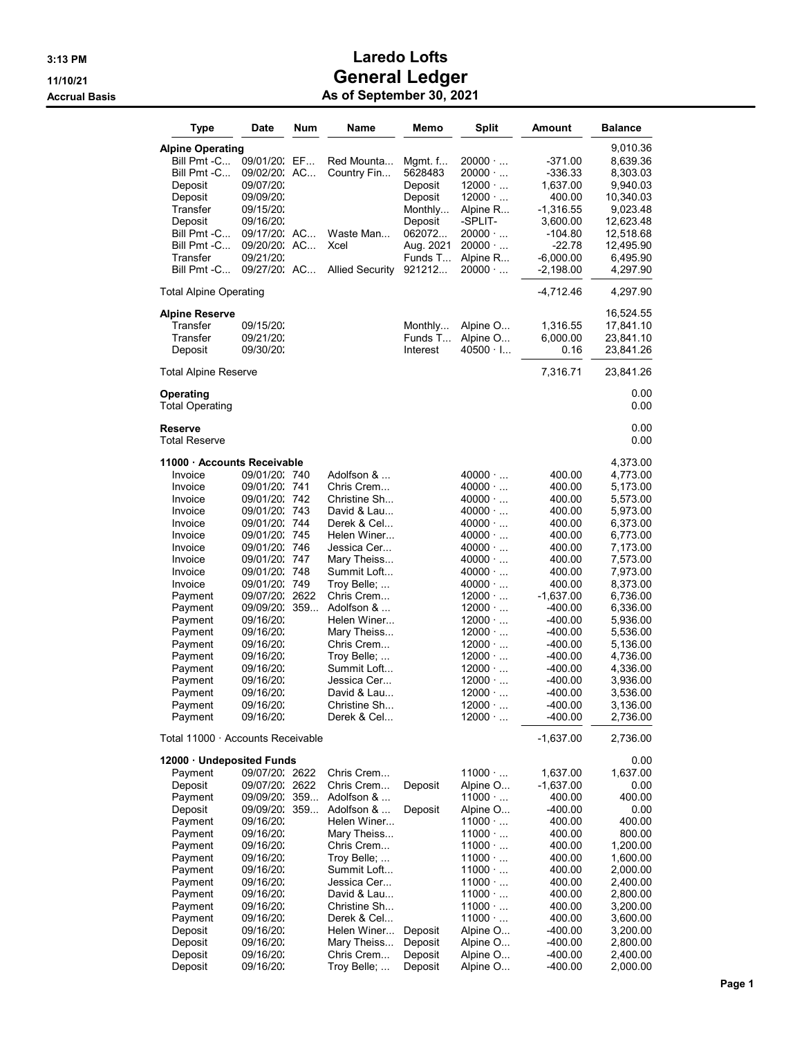| Type                                                                                                                                                                                                                                                               | Date                                                                                                                                                                                                                                                                          | Num                                                                               | Name                                                                                                                                                                                                                                                                                                                   | Memo                                                                                                       | <b>Split</b>                                                                                                                                                                                                                                                                                                                                                                           | Amount                                                                                                                                                                                                                        | <b>Balance</b>                                                                                                                                                                                                                                                       |
|--------------------------------------------------------------------------------------------------------------------------------------------------------------------------------------------------------------------------------------------------------------------|-------------------------------------------------------------------------------------------------------------------------------------------------------------------------------------------------------------------------------------------------------------------------------|-----------------------------------------------------------------------------------|------------------------------------------------------------------------------------------------------------------------------------------------------------------------------------------------------------------------------------------------------------------------------------------------------------------------|------------------------------------------------------------------------------------------------------------|----------------------------------------------------------------------------------------------------------------------------------------------------------------------------------------------------------------------------------------------------------------------------------------------------------------------------------------------------------------------------------------|-------------------------------------------------------------------------------------------------------------------------------------------------------------------------------------------------------------------------------|----------------------------------------------------------------------------------------------------------------------------------------------------------------------------------------------------------------------------------------------------------------------|
| <b>Alpine Operating</b><br>Bill Pmt -C<br>Bill Pmt -C<br>Deposit<br>Deposit<br>Transfer<br>Deposit<br>Bill Pmt -C<br>Bill Pmt -C<br>Transfer<br>Bill Pmt -C                                                                                                        | 09/01/20:<br>09/02/20: AC<br>09/07/20:<br>09/09/20:<br>09/15/20:<br>09/16/20:<br>09/17/20: AC<br>09/20/20:<br>09/21/20:<br>09/27/20: AC                                                                                                                                       | EF<br>AC                                                                          | Red Mounta<br>Country Fin<br>Waste Man<br>Xcel<br><b>Allied Security</b>                                                                                                                                                                                                                                               | Mgmt. f<br>5628483<br>Deposit<br>Deposit<br>Monthly<br>Deposit<br>062072<br>Aug. 2021<br>Funds T<br>921212 | $20000 \cdot $<br>$20000 \cdot $<br>$12000 \cdot $<br>$12000 \cdot $<br>Alpine R<br>-SPLIT-<br>$20000 \cdot $<br>$20000 \cdot $<br>Alpine R<br>$20000 \cdot $                                                                                                                                                                                                                          | -371.00<br>-336.33<br>1,637.00<br>400.00<br>$-1,316.55$<br>3,600.00<br>-104.80<br>-22.78<br>$-6,000.00$<br>-2,198.00                                                                                                          | 9,010.36<br>8,639.36<br>8,303.03<br>9,940.03<br>10,340.03<br>9,023.48<br>12,623.48<br>12,518.68<br>12,495.90<br>6,495.90<br>4,297.90                                                                                                                                 |
| Total Alpine Operating                                                                                                                                                                                                                                             |                                                                                                                                                                                                                                                                               |                                                                                   |                                                                                                                                                                                                                                                                                                                        |                                                                                                            |                                                                                                                                                                                                                                                                                                                                                                                        | -4,712.46                                                                                                                                                                                                                     | 4,297.90                                                                                                                                                                                                                                                             |
| Alpine Reserve<br>Transfer<br>Transfer<br>Deposit                                                                                                                                                                                                                  | 09/15/20:<br>09/21/20:<br>09/30/20:                                                                                                                                                                                                                                           |                                                                                   |                                                                                                                                                                                                                                                                                                                        | Monthly<br>Funds T<br>Interest                                                                             | Alpine O<br>Alpine O<br>$40500 \cdot 1$                                                                                                                                                                                                                                                                                                                                                | 1,316.55<br>6,000.00<br>0.16                                                                                                                                                                                                  | 16,524.55<br>17,841.10<br>23,841.10<br>23,841.26                                                                                                                                                                                                                     |
| Total Alpine Reserve                                                                                                                                                                                                                                               |                                                                                                                                                                                                                                                                               |                                                                                   |                                                                                                                                                                                                                                                                                                                        |                                                                                                            |                                                                                                                                                                                                                                                                                                                                                                                        | 7,316.71                                                                                                                                                                                                                      | 23,841.26                                                                                                                                                                                                                                                            |
| Operating<br><b>Total Operating</b>                                                                                                                                                                                                                                |                                                                                                                                                                                                                                                                               |                                                                                   |                                                                                                                                                                                                                                                                                                                        |                                                                                                            |                                                                                                                                                                                                                                                                                                                                                                                        |                                                                                                                                                                                                                               | 0.00<br>0.00                                                                                                                                                                                                                                                         |
| Reserve<br><b>Total Reserve</b>                                                                                                                                                                                                                                    |                                                                                                                                                                                                                                                                               |                                                                                   |                                                                                                                                                                                                                                                                                                                        |                                                                                                            |                                                                                                                                                                                                                                                                                                                                                                                        |                                                                                                                                                                                                                               | 0.00<br>0.00                                                                                                                                                                                                                                                         |
| 11000 · Accounts Receivable<br>Invoice<br>Invoice<br>Invoice<br>Invoice<br>Invoice<br>Invoice<br>Invoice<br>Invoice<br>Invoice<br>Invoice<br>Payment<br>Payment<br>Payment<br>Payment<br>Payment<br>Payment<br>Payment<br>Payment<br>Payment<br>Payment<br>Payment | 09/01/20:<br>09/01/20:<br>09/01/20:<br>09/01/20:<br>09/01/20:<br>09/01/20:<br>09/01/20:<br>09/01/20:<br>09/01/20:<br>09/01/20:<br>09/07/20:<br>09/09/20:<br>09/16/20:<br>09/16/20:<br>09/16/20:<br>09/16/20:<br>09/16/20:<br>09/16/20:<br>09/16/20:<br>09/16/20:<br>09/16/20: | 740<br>741<br>742<br>743<br>744<br>745<br>746<br>747<br>748<br>749<br>2622<br>359 | Adolfson & …<br>Chris Crem<br>Christine Sh<br>David & Lau<br>Derek & Cel<br>Helen Winer<br>Jessica Cer<br>Mary Theiss<br>Summit Loft<br>Troy Belle;<br>Chris Crem<br>Adolfson &<br>Helen Winer<br>Mary Theiss<br>Chris Crem<br>Troy Belle;<br>Summit Loft<br>Jessica Cer<br>David & Lau<br>Christine Sh<br>Derek & Cel |                                                                                                            | $40000 \cdot $<br>$40000 \cdot $<br>$40000 \cdot $<br>$40000 \cdot $<br>$40000 \cdot $<br>$40000 \cdot $<br>$40000 \cdot $<br>$40000 \cdot $<br>$40000 \cdot $<br>$40000 \cdot $<br>$12000 \cdot $<br>$12000 \cdot $<br>$12000 \cdot $<br>$12000 \cdot $<br>$12000 \cdot $<br>$12000 \cdot $<br>$12000 \cdot $<br>$12000 \cdot $<br>$12000 \cdot $<br>$12000 \cdot $<br>$12000 \cdot $ | 400.00<br>400.00<br>400.00<br>400.00<br>400.00<br>400.00<br>400.00<br>400.00<br>400.00<br>400.00<br>-1,637.00<br>-400.00<br>-400.00<br>-400.00<br>-400.00<br>-400.00<br>-400.00<br>-400.00<br>-400.00<br>-400.00<br>$-400.00$ | 4,373.00<br>4,773.00<br>5,173.00<br>5,573.00<br>5,973.00<br>6,373.00<br>6,773.00<br>7,173.00<br>7,573.00<br>7,973.00<br>8,373.00<br>6,736.00<br>6,336.00<br>5,936.00<br>5,536.00<br>5,136.00<br>4,736.00<br>4,336.00<br>3,936.00<br>3,536.00<br>3,136.00<br>2,736.00 |
| Total 11000 · Accounts Receivable                                                                                                                                                                                                                                  |                                                                                                                                                                                                                                                                               |                                                                                   |                                                                                                                                                                                                                                                                                                                        |                                                                                                            |                                                                                                                                                                                                                                                                                                                                                                                        | $-1,637.00$                                                                                                                                                                                                                   | 2,736.00                                                                                                                                                                                                                                                             |
| 12000 · Undeposited Funds<br>Payment<br>Deposit<br>Payment<br>Deposit<br>Payment<br>Payment<br>Payment<br>Payment<br>Payment<br>Payment<br>Payment<br>Payment<br>Payment<br>Deposit<br>Deposit                                                                     | 09/07/20: 2622<br>09/07/20: 2622<br>09/09/20:<br>09/09/20.<br>09/16/20:<br>09/16/20:<br>09/16/20:<br>09/16/20:<br>09/16/20:<br>09/16/20:<br>09/16/20:<br>09/16/20:<br>09/16/20:<br>09/16/20:<br>09/16/20:                                                                     | 359<br>359                                                                        | Chris Crem<br>Chris Crem<br>Adolfson &<br>Adolfson &<br>Helen Winer<br>Mary Theiss<br>Chris Crem<br>Troy Belle;<br>Summit Loft<br>Jessica Cer<br>David & Lau<br>Christine Sh<br>Derek & Cel<br>Helen Winer<br>Mary Theiss                                                                                              | Deposit<br>Deposit<br>Deposit<br>Deposit                                                                   | $11000 \cdot $<br>Alpine O<br>$11000 \cdot $<br>Alpine O<br>11000<br>$11000 \cdot $<br>$11000 \cdot $<br>$11000 \cdot $<br>$11000 \cdot $<br>$11000 \cdot $<br>$11000 \cdot $<br>$11000 \cdot $<br>$11000 \cdot $<br>Alpine O<br>Alpine O                                                                                                                                              | 1,637.00<br>$-1,637.00$<br>400.00<br>-400.00<br>400.00<br>400.00<br>400.00<br>400.00<br>400.00<br>400.00<br>400.00<br>400.00<br>400.00<br>-400.00<br>-400.00                                                                  | 0.00<br>1,637.00<br>0.00<br>400.00<br>0.00<br>400.00<br>800.00<br>1,200.00<br>1,600.00<br>2,000.00<br>2,400.00<br>2,800.00<br>3,200.00<br>3,600.00<br>3,200.00<br>2,800.00                                                                                           |
| Deposit<br>Deposit                                                                                                                                                                                                                                                 | 09/16/20:<br>09/16/20:                                                                                                                                                                                                                                                        |                                                                                   | Chris Crem<br>Troy Belle;                                                                                                                                                                                                                                                                                              | Deposit<br>Deposit                                                                                         | Alpine O<br>Alpine O                                                                                                                                                                                                                                                                                                                                                                   | -400.00<br>-400.00                                                                                                                                                                                                            | 2,400.00<br>2,000.00                                                                                                                                                                                                                                                 |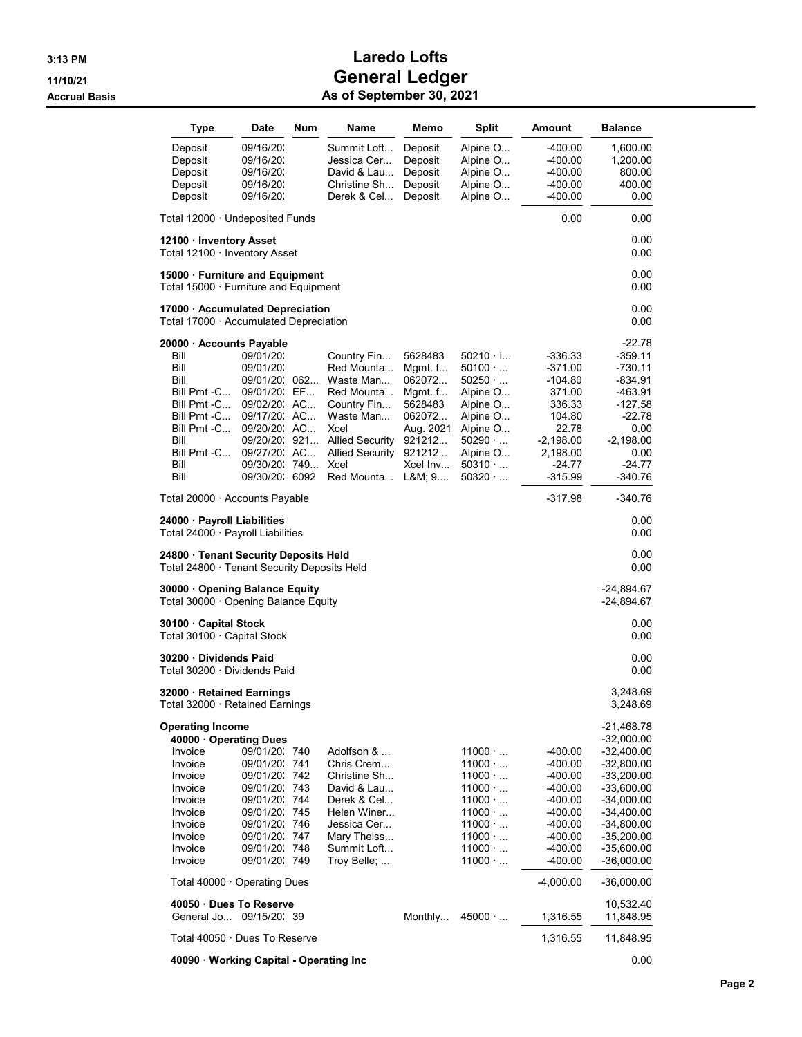| Type                                                                                                                                                                                                                         | Date                                                                                                                                                                    | Num     | Name                                                                                                                                                               | Memo                                                                                                                 | Split                                                                                                                                                                   | Amount                                                                                                                       | <b>Balance</b>                                                                                                                                                                                                          |
|------------------------------------------------------------------------------------------------------------------------------------------------------------------------------------------------------------------------------|-------------------------------------------------------------------------------------------------------------------------------------------------------------------------|---------|--------------------------------------------------------------------------------------------------------------------------------------------------------------------|----------------------------------------------------------------------------------------------------------------------|-------------------------------------------------------------------------------------------------------------------------------------------------------------------------|------------------------------------------------------------------------------------------------------------------------------|-------------------------------------------------------------------------------------------------------------------------------------------------------------------------------------------------------------------------|
| Deposit<br>Deposit<br>Deposit<br>Deposit<br>Deposit                                                                                                                                                                          | 09/16/20:<br>09/16/20:<br>09/16/20:<br>09/16/20:<br>09/16/20:                                                                                                           |         | Summit Loft<br>Jessica Cer<br>David & Lau<br>Christine Sh<br>Derek & Cel                                                                                           | Deposit<br>Deposit<br>Deposit<br>Deposit<br>Deposit                                                                  | Alpine O<br>Alpine O<br>Alpine O<br>Alpine O<br>Alpine O                                                                                                                | $-400.00$<br>-400.00<br>-400.00<br>-400.00<br>-400.00                                                                        | 1,600.00<br>1,200.00<br>800.00<br>400.00<br>0.00                                                                                                                                                                        |
| Total 12000 · Undeposited Funds                                                                                                                                                                                              |                                                                                                                                                                         |         |                                                                                                                                                                    |                                                                                                                      |                                                                                                                                                                         | 0.00                                                                                                                         | 0.00                                                                                                                                                                                                                    |
| 12100 · Inventory Asset<br>Total 12100 · Inventory Asset                                                                                                                                                                     |                                                                                                                                                                         |         |                                                                                                                                                                    |                                                                                                                      |                                                                                                                                                                         |                                                                                                                              | 0.00<br>0.00                                                                                                                                                                                                            |
| 15000 · Furniture and Equipment<br>Total $15000 \cdot$ Furniture and Equipment                                                                                                                                               |                                                                                                                                                                         |         |                                                                                                                                                                    |                                                                                                                      |                                                                                                                                                                         |                                                                                                                              | 0.00<br>0.00                                                                                                                                                                                                            |
| 17000 · Accumulated Depreciation<br>Total 17000 $\cdot$ Accumulated Depreciation                                                                                                                                             |                                                                                                                                                                         |         |                                                                                                                                                                    |                                                                                                                      |                                                                                                                                                                         |                                                                                                                              | 0.00<br>0.00                                                                                                                                                                                                            |
| 20000 · Accounts Payable<br>Bill<br>Bill<br>Bill<br>Bill Pmt -C<br>Bill Pmt -C<br>Bill Pmt -C<br>Bill Pmt -C<br>Bill<br>Bill Pmt -C<br>Bill<br>Bill                                                                          | 09/01/20:<br>09/01/20:<br>09/01/20.<br>09/01/20: EF<br>09/02/20: AC<br>09/17/20: AC<br>09/20/20: AC<br>09/20/20: 921<br>09/27/20: AC<br>09/30/20: 749<br>09/30/20: 6092 | 062     | Country Fin<br>Red Mounta<br>Waste Man<br>Red Mounta<br>Country Fin<br>Waste Man<br>Xcel<br><b>Allied Security</b><br><b>Allied Security</b><br>Xcel<br>Red Mounta | 5628483<br>Mgmt. $f$<br>062072<br>Mgmt. f<br>5628483<br>062072<br>Aug. 2021<br>921212<br>921212<br>Xcel Inv<br>L&M 9 | $50210 \cdot$ I<br>$50100 \cdot $<br>$50250 \cdot $<br>Alpine O<br>Alpine O<br>Alpine O<br>Alpine O<br>$50290 \cdot \ldots$<br>Alpine O<br>50310<br>50320 $\cdot$       | -336.33<br>$-371.00$<br>$-104.80$<br>371.00<br>336.33<br>104.80<br>22.78<br>$-2,198.00$<br>2,198.00<br>$-24.77$<br>$-315.99$ | $-22.78$<br>-359.11<br>-730.11<br>-834.91<br>-463.91<br>-127.58<br>-22.78<br>0.00<br>-2,198.00<br>0.00<br>-24.77<br>-340.76                                                                                             |
| Total 20000 · Accounts Payable                                                                                                                                                                                               | -317.98                                                                                                                                                                 | -340.76 |                                                                                                                                                                    |                                                                                                                      |                                                                                                                                                                         |                                                                                                                              |                                                                                                                                                                                                                         |
| 24000 · Payroll Liabilities<br>Total 24000 $\cdot$ Payroll Liabilities                                                                                                                                                       |                                                                                                                                                                         |         |                                                                                                                                                                    |                                                                                                                      |                                                                                                                                                                         |                                                                                                                              | 0.00<br>0.00                                                                                                                                                                                                            |
| 24800 · Tenant Security Deposits Held<br>Total 24800 · Tenant Security Deposits Held                                                                                                                                         |                                                                                                                                                                         |         |                                                                                                                                                                    |                                                                                                                      |                                                                                                                                                                         |                                                                                                                              | 0.00<br>0.00                                                                                                                                                                                                            |
| 30000 Opening Balance Equity<br>Total 30000 · Opening Balance Equity                                                                                                                                                         |                                                                                                                                                                         |         |                                                                                                                                                                    |                                                                                                                      |                                                                                                                                                                         |                                                                                                                              | -24,894.67<br>-24,894.67                                                                                                                                                                                                |
| 30100 · Capital Stock<br>Total 30100 · Capital Stock                                                                                                                                                                         |                                                                                                                                                                         |         |                                                                                                                                                                    |                                                                                                                      |                                                                                                                                                                         |                                                                                                                              | 0.00<br>0.00                                                                                                                                                                                                            |
| 30200 Dividends Paid<br>Total 30200 · Dividends Paid                                                                                                                                                                         |                                                                                                                                                                         |         |                                                                                                                                                                    |                                                                                                                      |                                                                                                                                                                         |                                                                                                                              | 0.00<br>0.00                                                                                                                                                                                                            |
| 32000 · Retained Earnings<br>Total 32000 · Retained Earnings                                                                                                                                                                 |                                                                                                                                                                         |         |                                                                                                                                                                    |                                                                                                                      |                                                                                                                                                                         |                                                                                                                              | 3,248.69<br>3,248.69                                                                                                                                                                                                    |
| <b>Operating Income</b><br>40000 Operating Dues<br>Invoice<br>Invoice<br>Invoice<br>Invoice<br>Invoice<br>Invoice<br>Invoice<br>Invoice<br>Invoice<br>Invoice<br>Total $40000 \cdot$ Operating Dues<br>40050 Dues To Reserve | 09/01/20: 740<br>09/01/20: 741<br>09/01/20: 742<br>09/01/20: 743<br>09/01/20: 744<br>09/01/20: 745<br>09/01/20: 746<br>09/01/20: 747<br>09/01/20: 748<br>09/01/20: 749  |         | Adolfson &<br>Chris Crem<br>Christine Sh<br>David & Lau<br>Derek & Cel<br>Helen Winer<br>Jessica Cer<br>Mary Theiss<br>Summit Loft<br>Troy Belle;                  |                                                                                                                      | $11000 \cdot $<br>$11000 \cdot $<br>$11000 \cdot $<br>$11000 \cdot $<br>$11000 \cdot $<br>$11000 \cdot $<br>$11000 \cdot $<br>11000<br>$11000 \cdot $<br>$11000 \cdot $ | -400.00<br>$-400.00$<br>-400.00<br>-400.00<br>-400.00<br>-400.00<br>-400.00<br>-400.00<br>-400.00<br>$-400.00$<br>-4,000.00  | -21,468.78<br>$-32,000.00$<br>$-32,400.00$<br>$-32,800.00$<br>$-33,200.00$<br>$-33,600.00$<br>$-34,000.00$<br>$-34,400.00$<br>$-34,800.00$<br>$-35,200.00$<br>$-35,600.00$<br>$-36,000.00$<br>$-36,000.00$<br>10,532.40 |
| General Jo 09/15/20: 39                                                                                                                                                                                                      |                                                                                                                                                                         |         |                                                                                                                                                                    | Monthly                                                                                                              | $45000 \cdot $                                                                                                                                                          | 1,316.55                                                                                                                     | 11,848.95                                                                                                                                                                                                               |
| Total 40050 · Dues To Reserve                                                                                                                                                                                                |                                                                                                                                                                         |         |                                                                                                                                                                    |                                                                                                                      |                                                                                                                                                                         | 1,316.55                                                                                                                     | 11,848.95                                                                                                                                                                                                               |
| 40090 · Working Capital - Operating Inc                                                                                                                                                                                      |                                                                                                                                                                         |         |                                                                                                                                                                    |                                                                                                                      |                                                                                                                                                                         |                                                                                                                              | 0.00                                                                                                                                                                                                                    |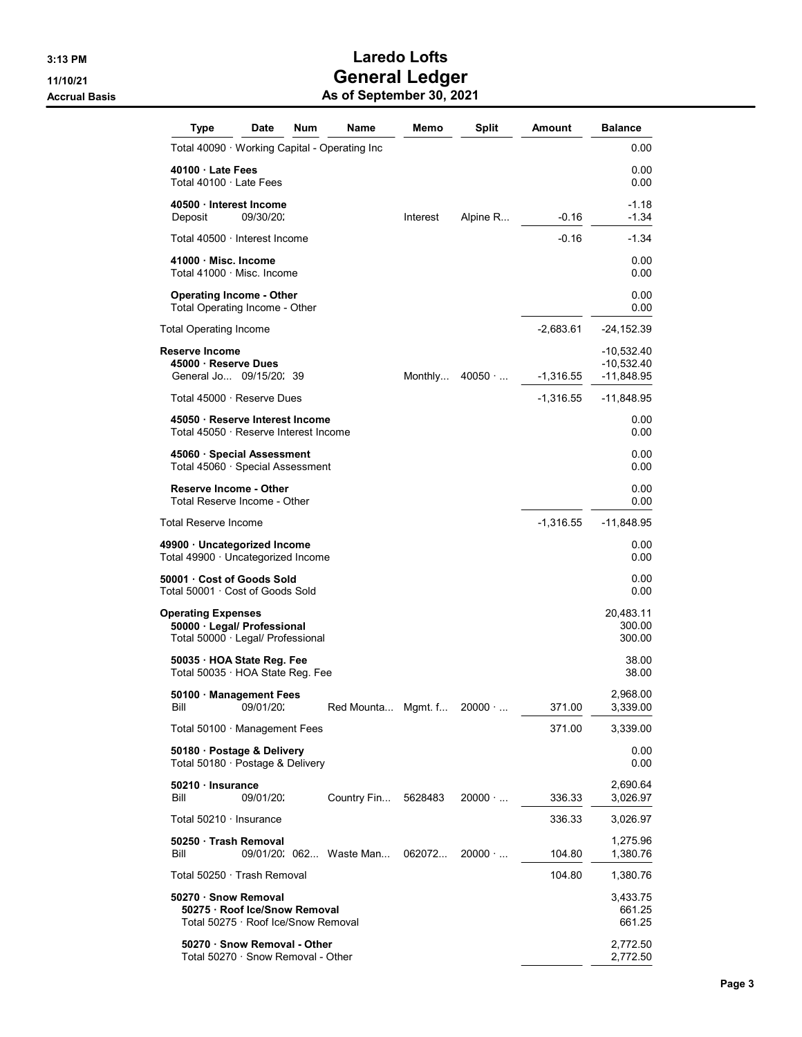| Type                                                                                          | Date      | Num | Name                    | Memo     | <b>Split</b>   | Amount      | <b>Balance</b>                           |
|-----------------------------------------------------------------------------------------------|-----------|-----|-------------------------|----------|----------------|-------------|------------------------------------------|
| Total 40090 · Working Capital - Operating Inc                                                 |           |     |                         |          |                |             | 0.00                                     |
| 40100 Late Fees<br>Total $40100 \cdot$ Late Fees                                              |           |     |                         |          |                |             | 0.00<br>0.00                             |
| 40500 Interest Income<br>Deposit                                                              | 09/30/20: |     |                         | Interest | Alpine R       | $-0.16$     | $-1.18$<br>$-1.34$                       |
| Total 40500 · Interest Income                                                                 |           |     |                         |          |                | $-0.16$     | -1.34                                    |
| 41000 · Misc. Income<br>Total 41000 · Misc. Income                                            |           |     |                         |          |                |             | 0.00<br>0.00                             |
| <b>Operating Income - Other</b><br>Total Operating Income - Other                             |           |     |                         |          |                |             | 0.00<br>0.00                             |
| Total Operating Income                                                                        |           |     |                         |          |                | $-2,683.61$ | $-24, 152.39$                            |
| Reserve Income<br>45000 · Reserve Dues<br>General Jo 09/15/20: 39                             |           |     |                         | Monthly  | 40050          | $-1,316.55$ | -10,532.40<br>-10,532.40<br>$-11,848.95$ |
| Total 45000 · Reserve Dues                                                                    |           |     |                         |          |                | $-1,316.55$ | -11,848.95                               |
| 45050 · Reserve Interest Income<br>Total 45050 · Reserve Interest Income                      |           |     |                         |          |                |             | 0.00<br>0.00                             |
| 45060 · Special Assessment<br>Total 45060 · Special Assessment                                |           |     |                         |          |                |             | 0.00<br>0.00                             |
| <b>Reserve Income - Other</b><br>Total Reserve Income - Other                                 |           |     |                         |          |                |             | 0.00<br>0.00                             |
| Total Reserve Income                                                                          |           |     |                         |          |                | $-1,316.55$ | -11,848.95                               |
| 49900 · Uncategorized Income<br>Total 49900 · Uncategorized Income                            |           |     |                         |          |                |             | 0.00<br>0.00                             |
| 50001 Cost of Goods Sold<br>Total 50001 · Cost of Goods Sold                                  |           |     |                         |          |                |             | 0.00<br>0.00                             |
| <b>Operating Expenses</b><br>50000 · Legal/ Professional<br>Total 50000 · Legal/ Professional |           |     |                         |          |                |             | 20,483.11<br>300.00<br>300.00            |
| 50035 HOA State Reg. Fee<br>Total 50035 · HOA State Reg. Fee                                  |           |     |                         |          |                |             | 38.00<br>38.00                           |
| 50100 · Management Fees<br>Bill                                                               | 09/01/20: |     | Red Mounta Mgmt. f      |          | $20000 \cdot $ | 371.00      | 2,968.00<br>3,339.00                     |
| Total $50100 \cdot$ Management Fees                                                           |           |     |                         |          |                | 371.00      | 3,339.00                                 |
| 50180 · Postage & Delivery<br>Total 50180 · Postage & Delivery                                |           |     |                         |          |                |             | 0.00<br>0.00                             |
| 50210 Insurance<br>Bill                                                                       | 09/01/20: |     | Country Fin             | 5628483  | $20000 \cdot $ | 336.33      | 2,690.64<br>3,026.97                     |
| Total $50210 \cdot$ Insurance                                                                 |           |     |                         |          |                | 336.33      | 3,026.97                                 |
| 50250 Trash Removal<br>Bill                                                                   |           |     | 09/01/20. 062 Waste Man | 062072   | $20000 \cdot $ | 104.80      | 1,275.96<br>1,380.76                     |
| Total 50250 · Trash Removal                                                                   |           |     |                         |          |                | 104.80      | 1,380.76                                 |
| 50270 · Snow Removal<br>50275 · Roof Ice/Snow Removal<br>Total 50275 · Roof Ice/Snow Removal  |           |     |                         |          |                |             | 3,433.75<br>661.25<br>661.25             |
| 50270 · Snow Removal - Other<br>Total 50270 · Snow Removal - Other                            |           |     |                         |          |                |             | 2,772.50<br>2,772.50                     |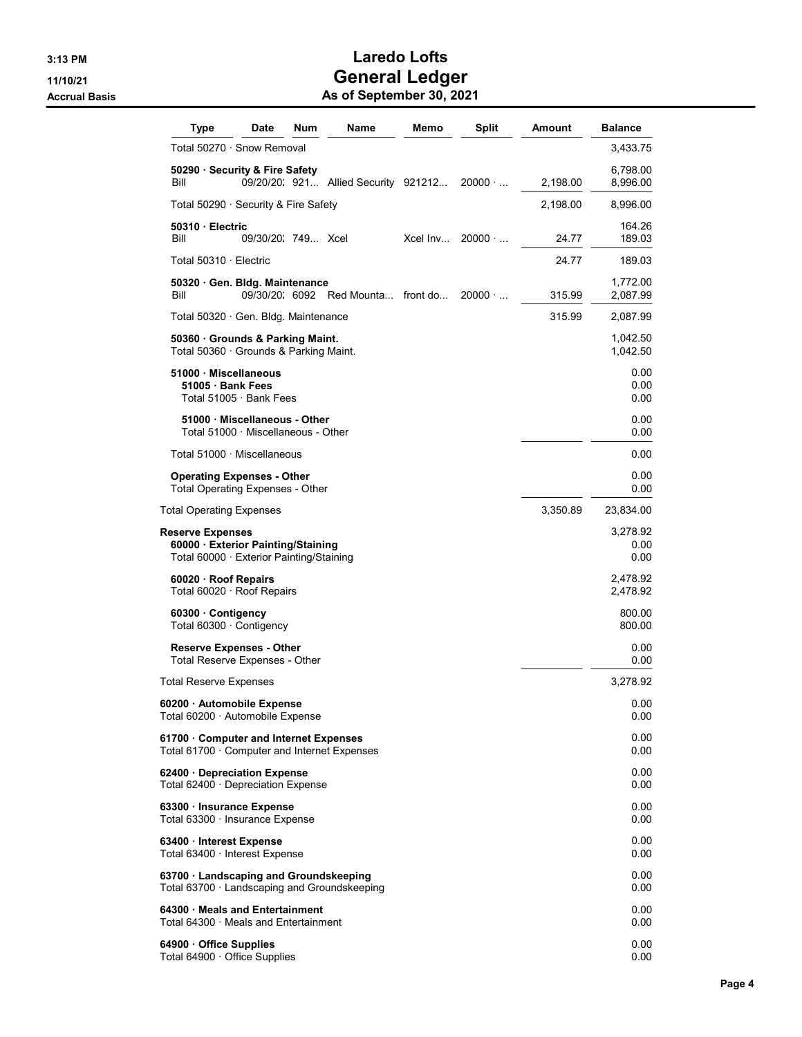| Type                                                                                                      | Date                                                                 | <b>Num</b> | Name                                 | Memo     | <b>Split</b>   | <b>Amount</b> | <b>Balance</b>           |
|-----------------------------------------------------------------------------------------------------------|----------------------------------------------------------------------|------------|--------------------------------------|----------|----------------|---------------|--------------------------|
| Total 50270 · Snow Removal                                                                                |                                                                      |            |                                      |          |                |               | 3,433.75                 |
| 50290 · Security & Fire Safety<br>Bill                                                                    |                                                                      |            | 09/20/20: 921 Allied Security 921212 |          | $20000 \cdot $ | 2,198.00      | 6,798.00<br>8,996.00     |
| Total 50290 · Security & Fire Safety                                                                      |                                                                      |            |                                      |          |                | 2,198.00      | 8,996.00                 |
| 50310 Electric<br>Bill                                                                                    | 09/30/20 749 Xcel                                                    |            |                                      | Xcel Inv | $20000 \cdot $ | 24.77         | 164.26<br>189.03         |
| Total 50310 · Electric                                                                                    |                                                                      |            |                                      |          |                | 24.77         | 189.03                   |
| 50320 Gen. Bldg. Maintenance<br>Bill                                                                      |                                                                      |            | 09/30/20. 6092 Red Mounta front do   |          | $20000 \cdot $ | 315.99        | 1,772.00<br>2,087.99     |
| Total 50320 · Gen. Bldg. Maintenance                                                                      |                                                                      |            |                                      |          |                | 315.99        | 2,087.99                 |
| 50360 Grounds & Parking Maint.<br>Total 50360 Grounds & Parking Maint.                                    |                                                                      |            |                                      |          |                |               | 1,042.50<br>1,042.50     |
| 51000 Miscellaneous<br>51005 · Bank Fees                                                                  | Total 51005 · Bank Fees                                              |            |                                      |          |                |               | 0.00<br>0.00<br>0.00     |
|                                                                                                           | 51000 · Miscellaneous - Other<br>Total 51000 · Miscellaneous - Other |            |                                      |          |                |               | 0.00<br>0.00             |
| Total 51000 · Miscellaneous                                                                               |                                                                      |            |                                      |          |                |               | 0.00                     |
| <b>Operating Expenses - Other</b><br><b>Total Operating Expenses - Other</b>                              |                                                                      |            |                                      |          |                |               | 0.00<br>0.00             |
| Total Operating Expenses                                                                                  |                                                                      |            |                                      |          |                | 3,350.89      | 23,834.00                |
| <b>Reserve Expenses</b><br>60000 · Exterior Painting/Staining<br>Total 60000 · Exterior Painting/Staining |                                                                      |            |                                      |          |                |               | 3,278.92<br>0.00<br>0.00 |
| 60020 · Roof Repairs<br>Total 60020 · Roof Repairs                                                        |                                                                      |            |                                      |          |                |               | 2,478.92<br>2,478.92     |
| 60300 Contigency<br>Total 60300 · Contigency                                                              |                                                                      |            |                                      |          |                |               | 800.00<br>800.00         |
| <b>Reserve Expenses - Other</b><br>Total Reserve Expenses - Other                                         |                                                                      |            |                                      |          |                |               | 0.00<br>0.00             |
| Total Reserve Expenses                                                                                    |                                                                      |            |                                      |          |                |               | 3,278.92                 |
| 60200 · Automobile Expense<br>Total 60200 · Automobile Expense                                            |                                                                      |            |                                      |          |                |               | 0.00<br>0.00             |
| 61700 Computer and Internet Expenses<br>Total 61700 $\cdot$ Computer and Internet Expenses                |                                                                      |            |                                      |          |                |               | 0.00<br>0.00             |
| 62400 · Depreciation Expense<br>Total 62400 · Depreciation Expense                                        |                                                                      |            |                                      |          |                |               | 0.00<br>0.00             |
| 63300 · Insurance Expense<br>Total 63300 · Insurance Expense                                              |                                                                      |            |                                      |          |                |               | 0.00<br>0.00             |
| 63400 Interest Expense<br>Total 63400 · Interest Expense                                                  |                                                                      |            |                                      |          |                |               | 0.00<br>0.00             |
| 63700 · Landscaping and Groundskeeping<br>Total 63700 · Landscaping and Groundskeeping                    |                                                                      |            |                                      |          |                |               | 0.00<br>0.00             |
| 64300 · Meals and Entertainment<br>Total 64300 $\cdot$ Meals and Entertainment                            |                                                                      |            |                                      |          |                |               | 0.00<br>0.00             |
| 64900 · Office Supplies<br>Total 64900 · Office Supplies                                                  |                                                                      |            |                                      |          |                |               | 0.00<br>0.00             |